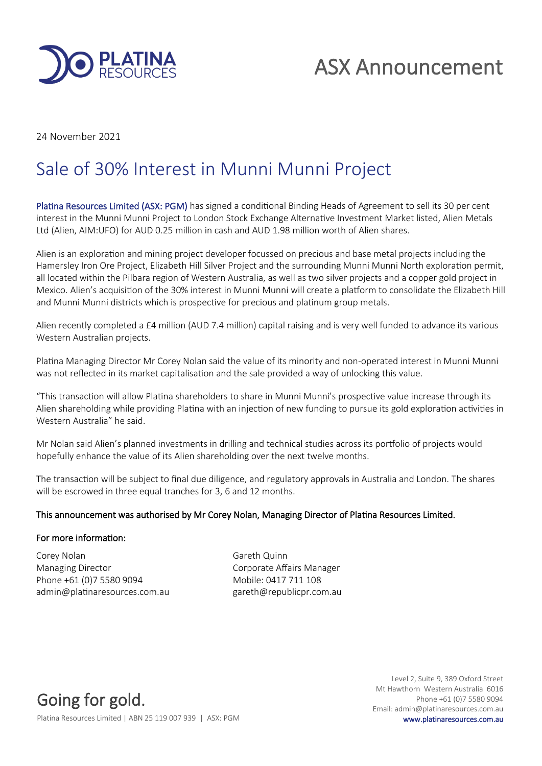

# ASX Announcement

24 November 2021

# Sale of 30% Interest in Munni Munni Project

Platina Resources Limited (ASX: PGM) has signed a conditional Binding Heads of Agreement to sell its 30 per cent interest in the Munni Munni Project to London Stock Exchange Alternative Investment Market listed, Alien Metals Ltd (Alien, AIM:UFO) for AUD 0.25 million in cash and AUD 1.98 million worth of Alien shares.

Alien is an exploration and mining project developer focussed on precious and base metal projects including the Hamersley Iron Ore Project, Elizabeth Hill Silver Project and the surrounding Munni Munni North exploration permit, all located within the Pilbara region of Western Australia, as well as two silver projects and a copper gold project in Mexico. Alien's acquisition of the 30% interest in Munni Munni will create a platform to consolidate the Elizabeth Hill and Munni Munni districts which is prospective for precious and platinum group metals.

Alien recently completed a £4 million (AUD 7.4 million) capital raising and is very well funded to advance its various Western Australian projects.

Platina Managing Director Mr Corey Nolan said the value of its minority and non-operated interest in Munni Munni was not reflected in its market capitalisation and the sale provided a way of unlocking this value.

"This transaction will allow Platina shareholders to share in Munni Munni's prospective value increase through its Alien shareholding while providing Platina with an injection of new funding to pursue its gold exploration activities in Western Australia" he said.

Mr Nolan said Alien's planned investments in drilling and technical studies across its portfolio of projects would hopefully enhance the value of its Alien shareholding over the next twelve months.

The transaction will be subject to final due diligence, and regulatory approvals in Australia and London. The shares will be escrowed in three equal tranches for 3, 6 and 12 months.

### This announcement was authorised by Mr Corey Nolan, Managing Director of Platina Resources Limited.

#### For more information:

Corey Nolan Gareth Quinn Managing Director **Communists** Corporate Affairs Manager Phone +61 (0)7 5580 9094 Mobile: 0417 711 108 admin@platinaresources.com.au gareth@republicpr.com.au

Going for gold.

Level 2, Suite 9, 389 Oxford Street Mt Hawthorn Western Australia 6016 Phone +61 (0)7 5580 9094 Email: admin@platinaresources.com.au

Platina Resources Limited | ABN 25 119 007 939 | ASX: PGM www.platinaresources.com.au